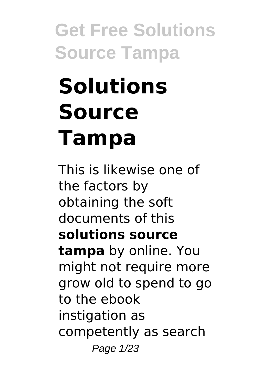# **Solutions Source Tampa**

This is likewise one of the factors by obtaining the soft documents of this **solutions source tampa** by online. You might not require more grow old to spend to go to the ebook instigation as competently as search Page 1/23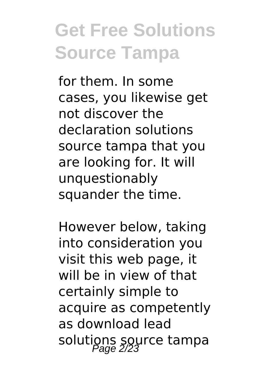for them. In some cases, you likewise get not discover the declaration solutions source tampa that you are looking for. It will unquestionably squander the time.

However below, taking into consideration you visit this web page, it will be in view of that certainly simple to acquire as competently as download lead solutions source tampa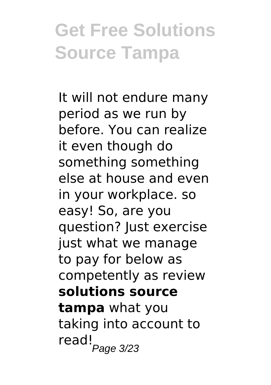It will not endure many period as we run by before. You can realize it even though do something something else at house and even in your workplace. so easy! So, are you question? Just exercise just what we manage to pay for below as competently as review **solutions source tampa** what you taking into account to read!<br>Page 3/23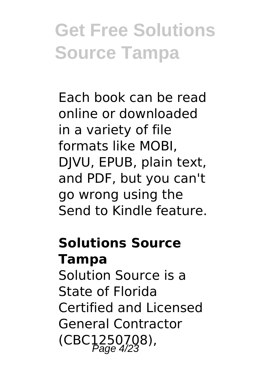Each book can be read online or downloaded in a variety of file formats like MOBI, DJVU, EPUB, plain text, and PDF, but you can't go wrong using the Send to Kindle feature.

### **Solutions Source Tampa**

Solution Source is a State of Florida Certified and Licensed General Contractor  $(CBC1250708)$ ,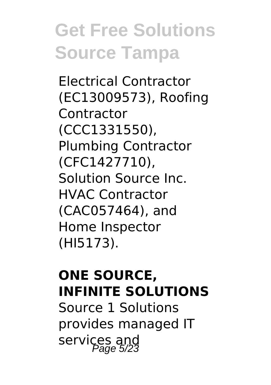Electrical Contractor (EC13009573), Roofing **Contractor** (CCC1331550), Plumbing Contractor (CFC1427710), Solution Source Inc. HVAC Contractor (CAC057464), and Home Inspector (HI5173).

#### **ONE SOURCE, INFINITE SOLUTIONS**

Source 1 Solutions provides managed IT services and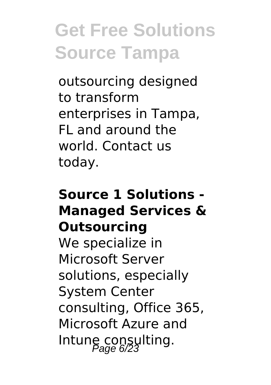outsourcing designed to transform enterprises in Tampa, FL and around the world. Contact us today.

#### **Source 1 Solutions - Managed Services & Outsourcing**

We specialize in Microsoft Server solutions, especially System Center consulting, Office 365, Microsoft Azure and Intune consulting.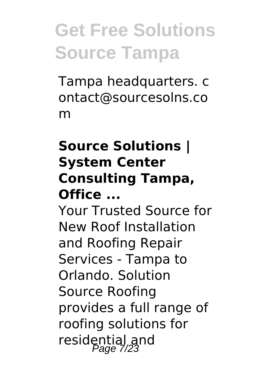Tampa headquarters. c ontact@sourcesolns.co m

#### **Source Solutions | System Center Consulting Tampa, Office ...**

Your Trusted Source for New Roof Installation and Roofing Repair Services - Tampa to Orlando. Solution Source Roofing provides a full range of roofing solutions for residential and<br>Page 7/23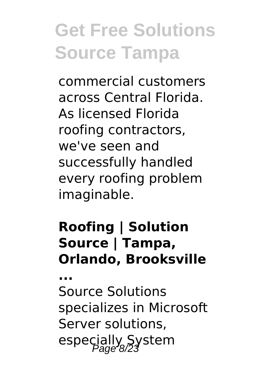commercial customers across Central Florida. As licensed Florida roofing contractors, we've seen and successfully handled every roofing problem imaginable.

#### **Roofing | Solution Source | Tampa, Orlando, Brooksville**

**...**

Source Solutions specializes in Microsoft Server solutions, especially System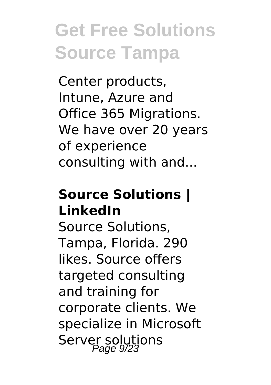Center products, Intune, Azure and Office 365 Migrations. We have over 20 years of experience consulting with and...

#### **Source Solutions | LinkedIn**

Source Solutions, Tampa, Florida. 290 likes. Source offers targeted consulting and training for corporate clients. We specialize in Microsoft Server solutions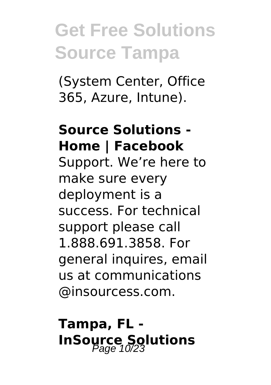(System Center, Office 365, Azure, Intune).

#### **Source Solutions - Home | Facebook**

Support. We're here to make sure every deployment is a success. For technical support please call 1.888.691.3858. For general inquires, email us at communications @insourcess.com.

### **Tampa, FL - InSource Solutions**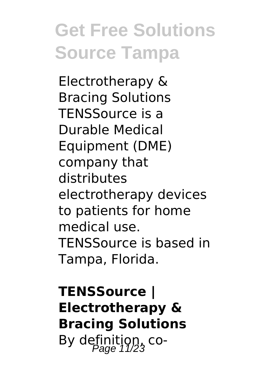Electrotherapy & Bracing Solutions TENSSource is a Durable Medical Equipment (DME) company that distributes electrotherapy devices to patients for home medical use. TENSSource is based in Tampa, Florida.

**TENSSource | Electrotherapy & Bracing Solutions** By definition,  $\cos$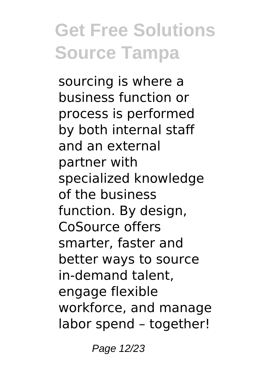sourcing is where a business function or process is performed by both internal staff and an external partner with specialized knowledge of the business function. By design, CoSource offers smarter, faster and better ways to source in-demand talent, engage flexible workforce, and manage labor spend – together!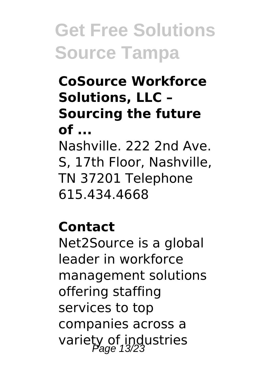#### **CoSource Workforce Solutions, LLC – Sourcing the future of ...** Nashville. 222 2nd Ave. S, 17th Floor, Nashville, TN 37201 Telephone 615.434.4668

#### **Contact**

Net2Source is a global leader in workforce management solutions offering staffing services to top companies across a variety of industries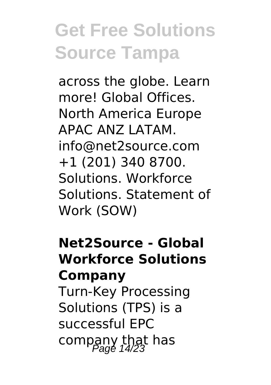across the globe. Learn more! Global Offices. North America Europe APAC ANZ LATAM. info@net2source.com +1 (201) 340 8700. Solutions. Workforce Solutions. Statement of Work (SOW)

#### **Net2Source - Global Workforce Solutions Company**

Turn-Key Processing Solutions (TPS) is a successful EPC company that has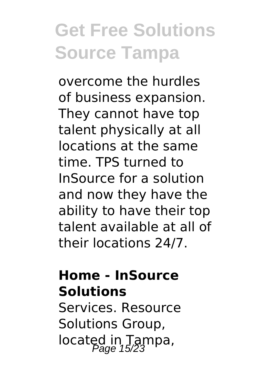overcome the hurdles of business expansion. They cannot have top talent physically at all locations at the same time. TPS turned to InSource for a solution and now they have the ability to have their top talent available at all of their locations 24/7.

#### **Home - InSource Solutions**

Services. Resource Solutions Group, located in Tampa,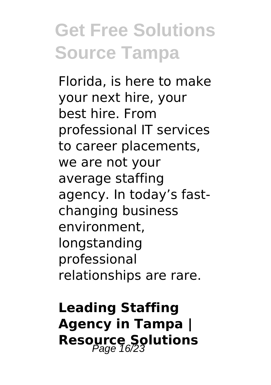Florida, is here to make your next hire, your best hire. From professional IT services to career placements, we are not your average staffing agency. In today's fastchanging business environment, longstanding professional relationships are rare.

### **Leading Staffing Agency in Tampa | Resource Solutions**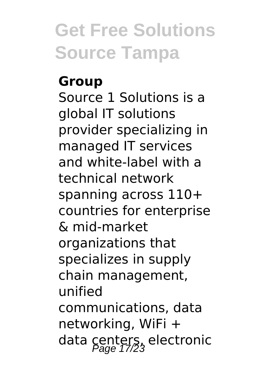#### **Group**

Source 1 Solutions is a global IT solutions provider specializing in managed IT services and white-label with a technical network spanning across 110+ countries for enterprise & mid-market organizations that specializes in supply chain management, unified communications, data networking, WiFi + data centers, electronic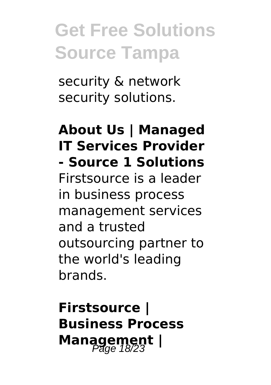security & network security solutions.

#### **About Us | Managed IT Services Provider - Source 1 Solutions**

Firstsource is a leader in business process management services and a trusted outsourcing partner to the world's leading brands.

### **Firstsource | Business Process Management** |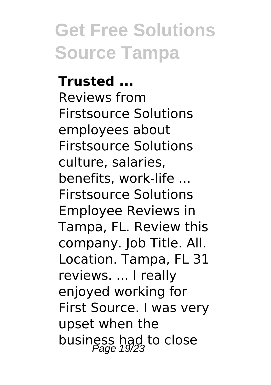**Trusted ...** Reviews from Firstsource Solutions employees about Firstsource Solutions culture, salaries, benefits, work-life ... Firstsource Solutions Employee Reviews in Tampa, FL. Review this company. Job Title. All. Location. Tampa, FL 31 reviews. ... I really enjoyed working for First Source. I was very upset when the business had to close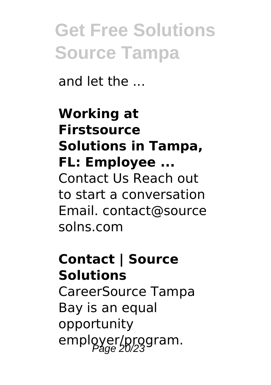and let the ...

#### **Working at Firstsource Solutions in Tampa, FL: Employee ...** Contact Us Reach out to start a conversation Email. contact@source solns.com

### **Contact | Source Solutions**

CareerSource Tampa Bay is an equal opportunity employer/program.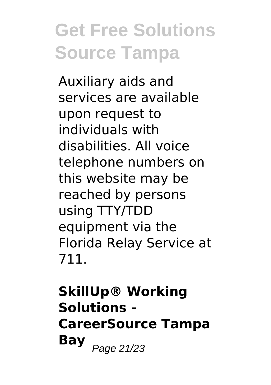Auxiliary aids and services are available upon request to individuals with disabilities. All voice telephone numbers on this website may be reached by persons using TTY/TDD equipment via the Florida Relay Service at 711.

**SkillUp® Working Solutions - CareerSource Tampa Bay** Page 21/23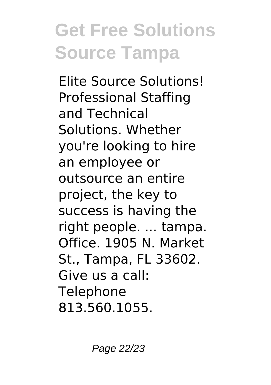Elite Source Solutions! Professional Staffing and Technical Solutions. Whether you're looking to hire an employee or outsource an entire project, the key to success is having the right people. ... tampa. Office. 1905 N. Market St., Tampa, FL 33602. Give us a call: **Telephone** 813.560.1055.